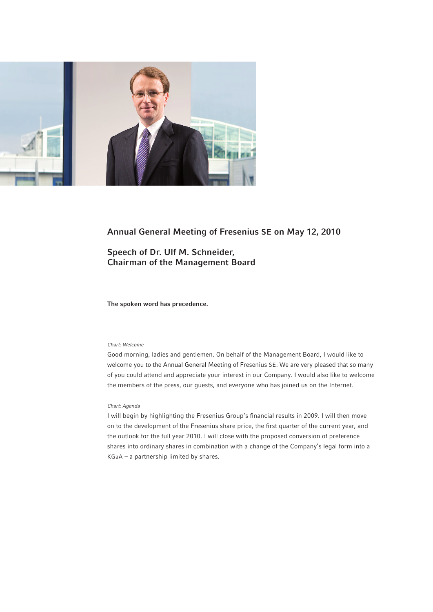

# Annual General Meeting of Fresenius SE on May 12, 2010

Speech of Dr. Ulf M. Schneider, Chairman of the Management Board

The spoken word has precedence.

# *Chart: Welcome*

Good morning, ladies and gentlemen. On behalf of the Management Board, I would like to welcome you to the Annual General Meeting of Fresenius SE. We are very pleased that so many of you could attend and appreciate your interest in our Company. I would also like to welcome the members of the press, our guests, and everyone who has joined us on the Internet.

# *Chart: Agenda*

I will begin by highlighting the Fresenius Group's financial results in 2009. I will then move on to the development of the Fresenius share price, the first quarter of the current year, and the outlook for the full year 2010. I will close with the proposed conversion of preference shares into ordinary shares in combination with a change of the Company's legal form into a KGaA – a partnership limited by shares.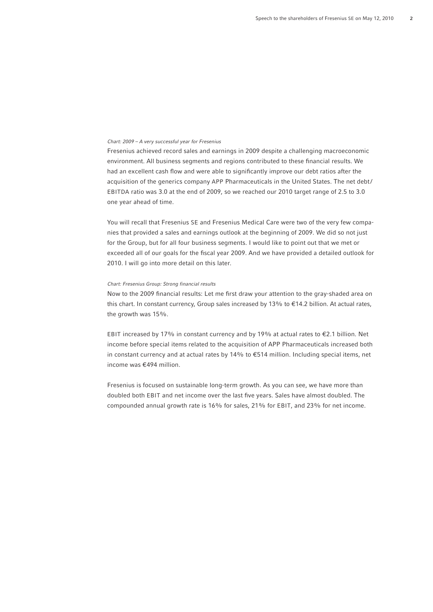# *Chart: 2009 – A very successful year for Fresenius*

Fresenius achieved record sales and earnings in 2009 despite a challenging macroeconomic environment. All business segments and regions contributed to these financial results. We had an excellent cash flow and were able to significantly improve our debt ratios after the acquisition of the generics company APP Pharmaceuticals in the United States. The net debt/ EBITDA ratio was 3.0 at the end of 2009, so we reached our 2010 target range of 2.5 to 3.0 one year ahead of time.

You will recall that Fresenius SE and Fresenius Medical Care were two of the very few companies that provided a sales and earnings outlook at the beginning of 2009. We did so not just for the Group, but for all four business segments. I would like to point out that we met or exceeded all of our goals for the fiscal year 2009. And we have provided a detailed outlook for 2010. I will go into more detail on this later.

## *Chart: Fresenius Group: Strong financial results*

Now to the 2009 financial results: Let me first draw your attention to the gray-shaded area on this chart. In constant currency, Group sales increased by 13% to €14.2 billion. At actual rates, the growth was 15%.

EBIT increased by 17% in constant currency and by 19% at actual rates to €2.1 billion. Net income before special items related to the acquisition of APP Pharmaceuticals increased both in constant currency and at actual rates by 14% to €514 million. Including special items, net income was €494 million.

Fresenius is focused on sustainable long-term growth. As you can see, we have more than doubled both EBIT and net income over the last five years. Sales have almost doubled. The compounded annual growth rate is 16% for sales, 21% for EBIT, and 23% for net income.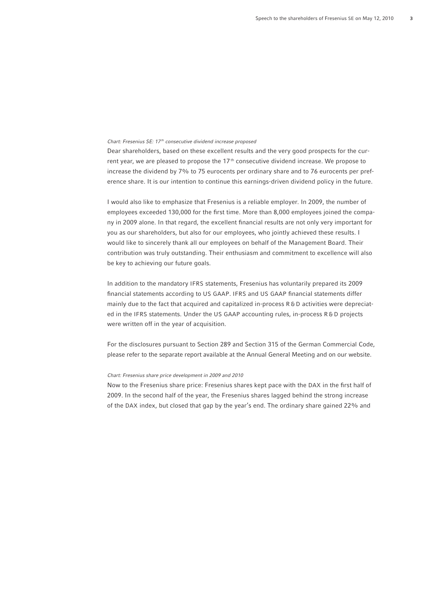# *Chart: Fresenius SE: 17 th consecutive dividend increase proposed*

Dear shareholders, based on these excellent results and the very good prospects for the current year, we are pleased to propose the  $17<sup>th</sup>$  consecutive dividend increase. We propose to increase the dividend by 7% to 75 eurocents per ordinary share and to 76 eurocents per preference share. It is our intention to continue this earnings-driven dividend policy in the future.

I would also like to emphasize that Fresenius is a reliable employer. In 2009, the number of employees exceeded 130,000 for the first time. More than 8,000 employees joined the company in 2009 alone. In that regard, the excellent financial results are not only very important for you as our shareholders, but also for our employees, who jointly achieved these results. I would like to sincerely thank all our employees on behalf of the Management Board. Their contribution was truly outstanding. Their enthusiasm and commitment to excellence will also be key to achieving our future goals.

In addition to the mandatory IFRS statements, Fresenius has voluntarily prepared its 2009 financial statements according to US GAAP. IFRS and US GAAP financial statements differ mainly due to the fact that acquired and capitalized in-process R & D activities were depreciated in the IFRS statements. Under the US GAAP accounting rules, in-process R&D projects were written off in the year of acquisition.

For the disclosures pursuant to Section 289 and Section 315 of the German Commercial Code, please refer to the separate report available at the Annual General Meeting and on our website.

#### *Chart: Fresenius share price development in 2009 and 2010*

Now to the Fresenius share price: Fresenius shares kept pace with the DAX in the first half of 2009. In the second half of the year, the Fresenius shares lagged behind the strong increase of the DAX index, but closed that gap by the year's end. The ordinary share gained 22% and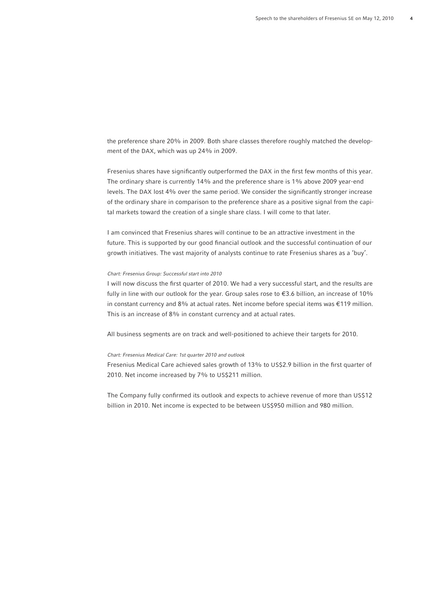the preference share 20% in 2009. Both share classes therefore roughly matched the development of the DAX, which was up 24% in 2009.

Fresenius shares have significantly outperformed the DAX in the first few months of this year. The ordinary share is currently 14% and the preference share is 1% above 2009 year-end levels. The DAX lost 4% over the same period. We consider the significantly stronger increase of the ordinary share in comparison to the preference share as a positive signal from the capital markets toward the creation of a single share class. I will come to that later.

I am convinced that Fresenius shares will continue to be an attractive investment in the future. This is supported by our good financial outlook and the successful continuation of our growth initiatives. The vast majority of analysts continue to rate Fresenius shares as a 'buy'.

# *Chart: Fresenius Group: Successful start into 2010*

I will now discuss the first quarter of 2010. We had a very successful start, and the results are fully in line with our outlook for the year. Group sales rose to €3.6 billion, an increase of 10% in constant currency and 8% at actual rates. Net income before special items was €119 million. This is an increase of 8% in constant currency and at actual rates.

All business segments are on track and well-positioned to achieve their targets for 2010.

## *Chart: Fresenius Medical Care: 1st quarter 2010 and outlook*

Fresenius Medical Care achieved sales growth of 13% to US\$2.9 billion in the first quarter of 2010. Net income increased by 7% to US\$211 million.

The Company fully confirmed its outlook and expects to achieve revenue of more than US\$12 billion in 2010. Net income is expected to be between US\$950 million and 980 million.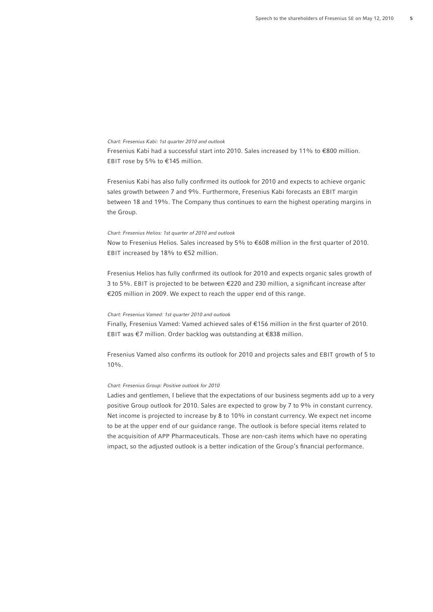#### *Chart: Fresenius Kabi: 1st quarter 2010 and outlook*

Fresenius Kabi had a successful start into 2010. Sales increased by 11% to €800 million. EBIT rose by 5% to €145 million.

Fresenius Kabi has also fully confirmed its outlook for 2010 and expects to achieve organic sales growth between 7 and 9%. Furthermore, Fresenius Kabi forecasts an EBIT margin between 18 and 19%. The Company thus continues to earn the highest operating margins in the Group.

#### *Chart: Fresenius Helios: 1st quarter of 2010 and outlook*

Now to Fresenius Helios. Sales increased by 5% to €608 million in the first quarter of 2010. EBIT increased by 18% to €52 million.

Fresenius Helios has fully confirmed its outlook for 2010 and expects organic sales growth of 3 to 5%. EBIT is projected to be between  $\epsilon$ 220 and 230 million, a significant increase after €205 million in 2009. We expect to reach the upper end of this range.

# *Chart: Fresenius Vamed: 1st quarter 2010 and outlook*

Finally, Fresenius Vamed: Vamed achieved sales of €156 million in the first quarter of 2010. EBIT was €7 million. Order backlog was outstanding at €838 million.

Fresenius Vamed also confirms its outlook for 2010 and projects sales and EBIT growth of 5 to 10%.

# *Chart: Fresenius Group: Positive outlook for 2010*

Ladies and gentlemen, I believe that the expectations of our business segments add up to a very positive Group outlook for 2010. Sales are expected to grow by 7 to 9% in constant currency. Net income is projected to increase by 8 to 10% in constant currency. We expect net income to be at the upper end of our guidance range. The outlook is before special items related to the acquisition of APP Pharmaceuticals. Those are non-cash items which have no operating impact, so the adjusted outlook is a better indication of the Group's financial performance.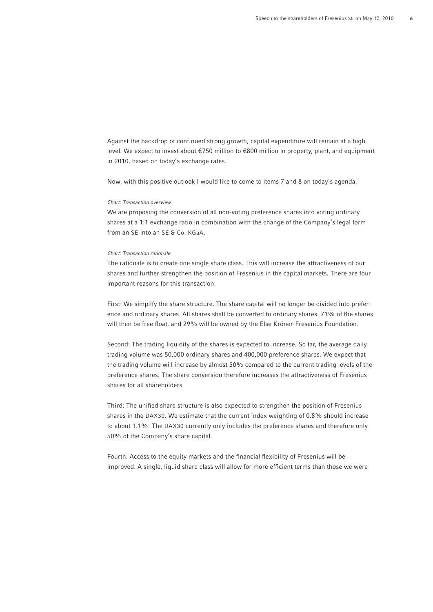Against the backdrop of continued strong growth, capital expenditure will remain at a high level. We expect to invest about €750 million to €800 million in property, plant, and equipment in 2010, based on today's exchange rates.

Now, with this positive outlook I would like to come to items 7 and 8 on today's agenda:

# *Chart: Transaction overview*

We are proposing the conversion of all non-voting preference shares into voting ordinary shares at a 1:1 exchange ratio in combination with the change of the Company's legal form from an SE into an SE & Co. KGaA.

### *Chart: Transaction rationale*

The rationale is to create one single share class. This will increase the attractiveness of our shares and further strengthen the position of Fresenius in the capital markets. There are four important reasons for this transaction:

First: We simplify the share structure. The share capital will no longer be divided into preference and ordinary shares. All shares shall be converted to ordinary shares. 71% of the shares will then be free float, and 29% will be owned by the Else Kröner-Fresenius Foundation.

Second: The trading liquidity of the shares is expected to increase. So far, the average daily trading volume was 50,000 ordinary shares and 400,000 preference shares. We expect that the trading volume will increase by almost 50% compared to the current trading levels of the preference shares. The share conversion therefore increases the attractiveness of Fresenius shares for all shareholders.

Third: The unified share structure is also expected to strengthen the position of Fresenius shares in the DAX30. We estimate that the current index weighting of 0.8% should increase to about 1.1%. The DAX30 currently only includes the preference shares and therefore only 50% of the Company's share capital.

Fourth: Access to the equity markets and the financial flexibility of Fresenius will be improved. A single, liquid share class will allow for more efficient terms than those we were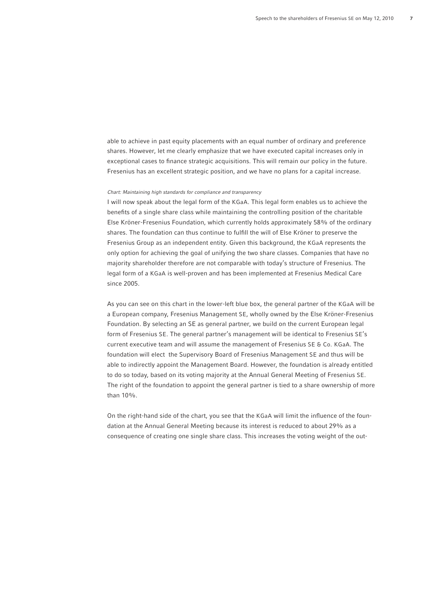able to achieve in past equity placements with an equal number of ordinary and preference shares. However, let me clearly emphasize that we have executed capital increases only in exceptional cases to finance strategic acquisitions. This will remain our policy in the future. Fresenius has an excellent strategic position, and we have no plans for a capital increase.

## *Chart: Maintaining high standards for compliance and transparency*

I will now speak about the legal form of the KGaA. This legal form enables us to achieve the benefits of a single share class while maintaining the controlling position of the charitable Else Kröner-Fresenius Foundation, which currently holds approximately 58% of the ordinary shares. The foundation can thus continue to fulfill the will of Else Kröner to preserve the Fresenius Group as an independent entity. Given this background, the KGaA represents the only option for achieving the goal of unifying the two share classes. Companies that have no majority shareholder therefore are not comparable with today's structure of Fresenius. The legal form of a KGaA is well-proven and has been implemented at Fresenius Medical Care since 2005.

As you can see on this chart in the lower-left blue box, the general partner of the KGaA will be a European company, Fresenius Management SE, wholly owned by the Else Kröner-Fresenius Foundation. By selecting an SE as general partner, we build on the current European legal form of Fresenius SE. The general partner's management will be identical to Fresenius SE's current executive team and will assume the management of Fresenius SE & Co. KGaA. The foundation will elect the Supervisory Board of Fresenius Management SE and thus will be able to indirectly appoint the Management Board. However, the foundation is already entitled to do so today, based on its voting majority at the Annual General Meeting of Fresenius SE. The right of the foundation to appoint the general partner is tied to a share ownership of more than 10%.

On the right-hand side of the chart, you see that the KGaA will limit the influence of the foundation at the Annual General Meeting because its interest is reduced to about 29% as a consequence of creating one single share class. This increases the voting weight of the out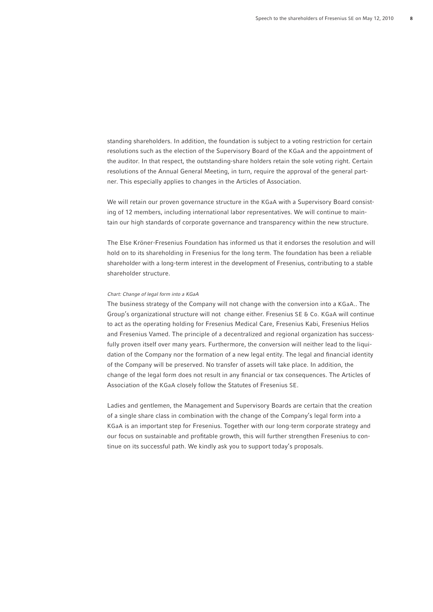standing shareholders. In addition, the foundation is subject to a voting restriction for certain resolutions such as the election of the Supervisory Board of the KGaA and the appointment of the auditor. In that respect, the outstanding-share holders retain the sole voting right. Certain resolutions of the Annual General Meeting, in turn, require the approval of the general partner. This especially applies to changes in the Articles of Association.

We will retain our proven governance structure in the KGaA with a Supervisory Board consisting of 12 members, including international labor representatives. We will continue to maintain our high standards of corporate governance and transparency within the new structure.

The Else Kröner-Fresenius Foundation has informed us that it endorses the resolution and will hold on to its shareholding in Fresenius for the long term. The foundation has been a reliable shareholder with a long-term interest in the development of Fresenius, contributing to a stable shareholder structure.

#### *Chart: Change of legal form into a KGaA*

The business strategy of the Company will not change with the conversion into a KGaA.. The Group's organizational structure will not change either. Fresenius SE & Co. KGaA will continue to act as the operating holding for Fresenius Medical Care, Fresenius Kabi, Fresenius Helios and Fresenius Vamed. The principle of a decentralized and regional organization has successfully proven itself over many years. Furthermore, the conversion will neither lead to the liquidation of the Company nor the formation of a new legal entity. The legal and financial identity of the Company will be preserved. No transfer of assets will take place. In addition, the change of the legal form does not result in any financial or tax consequences. The Articles of Association of the KGaA closely follow the Statutes of Fresenius SE.

Ladies and gentlemen, the Management and Supervisory Boards are certain that the creation of a single share class in combination with the change of the Company's legal form into a KGaA is an important step for Fresenius. Together with our long-term corporate strategy and our focus on sustainable and profitable growth, this will further strengthen Fresenius to continue on its successful path. We kindly ask you to support today's proposals.